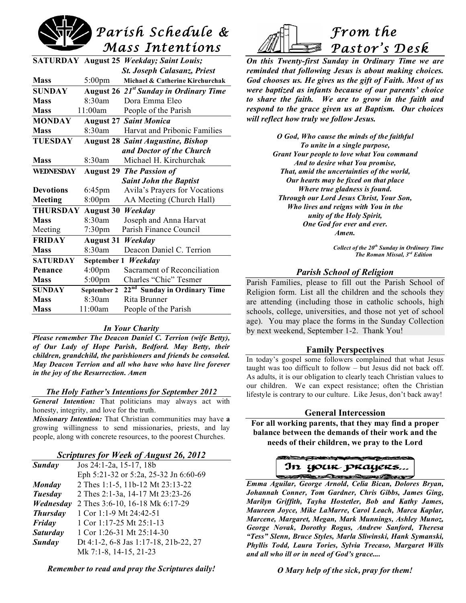

|                                                |                                    | <b>SATURDAY August 25 Weekday; Saint Louis;</b>    |
|------------------------------------------------|------------------------------------|----------------------------------------------------|
|                                                |                                    | <b>St. Joseph Calasanz, Priest</b>                 |
| <b>Mass</b>                                    | $5:00 \text{pm}$                   | Michael & Catherine Kirchurchak                    |
| <b>SUNDAY</b>                                  |                                    | August 26 21 <sup>st</sup> Sunday in Ordinary Time |
| <b>Mass</b>                                    | 8:30am                             | Dora Emma Eleo                                     |
| <b>Mass</b>                                    | 11:00am                            | People of the Parish                               |
| <b>MONDAY</b>                                  |                                    | <b>August 27 Saint Monica</b>                      |
| <b>Mass</b>                                    | 8:30am                             | Harvat and Pribonic Families                       |
| <b>TUESDAY</b>                                 |                                    | <b>August 28 Saint Augustine, Bishop</b>           |
|                                                | and Doctor of the Church           |                                                    |
| <b>Mass</b>                                    | 8:30am                             | Michael H. Kirchurchak                             |
| WEDNESDAY                                      | <b>The Passion of</b><br>August 29 |                                                    |
|                                                |                                    | <b>Saint John the Baptist</b>                      |
| <b>Devotions</b>                               | $6:45$ pm                          | Avila's Prayers for Vocations                      |
| Meeting                                        | $8:00$ pm                          | AA Meeting (Church Hall)                           |
| <b>THURSDAY</b><br><b>August 30</b><br>Weekday |                                    |                                                    |
| <b>Mass</b>                                    | 8:30am                             | Joseph and Anna Harvat                             |
| Meeting                                        | $7:30$ pm                          | Parish Finance Council                             |
| <b>FRIDAY</b>                                  | <b>August 31</b><br>Weekday        |                                                    |
| <b>Mass</b>                                    | 8:30am                             | Deacon Daniel C. Terrion                           |
| <b>SATURDAY</b>                                | September 1 Weekday                |                                                    |
| Penance                                        | 4:00 <sub>pm</sub>                 | Sacrament of Reconciliation                        |
| <b>Mass</b>                                    | $5:00$ pm                          | Charles "Chic" Tesmer                              |
| <b>SUNDAY</b>                                  | September 2                        | 22nd Sunday in Ordinary Time                       |
| <b>Mass</b>                                    | 8:30am                             | Rita Brunner                                       |
| <b>Mass</b>                                    | 11:00am                            | People of the Parish                               |

#### *In Your Charity*

*Please remember The Deacon Daniel C. Terrion (wife Betty), of Our Lady of Hope Parish, Bedford. May Betty, their children, grandchild, the parishioners and friends be consoled. May Deacon Terrion and all who have who have live forever in the joy of the Resurrection. Amen*

#### *The Holy Father's Intentions for September 2012*

*General Intention:* That politicians may always act with honesty, integrity, and love for the truth.

*Missionary Intention:* That Christian communities may have **a** growing willingness to send missionaries, priests, and lay people, along with concrete resources, to the poorest Churches.

#### *Scriptures for Week of August 26, 2012*

| Sunday          | Jos 24:1-2a, 15-17, 18b               |  |  |
|-----------------|---------------------------------------|--|--|
|                 | Eph 5:21-32 or 5:2a, 25-32 Jn 6:60-69 |  |  |
| <b>Monday</b>   | 2 Thes 1:1-5, 11b-12 Mt 23:13-22      |  |  |
| Tuesday         | 2 Thes 2:1-3a, 14-17 Mt 23:23-26      |  |  |
| Wednesday       | 2 Thes 3:6-10, 16-18 Mk 6:17-29       |  |  |
| <b>Thursday</b> | 1 Cor 1:1-9 Mt 24:42-51               |  |  |
| Friday          | 1 Cor 1:17-25 Mt 25:1-13              |  |  |
| <b>Saturday</b> | 1 Cor 1:26-31 Mt 25:14-30             |  |  |
| Sunday          | Dt 4:1-2, 6-8 Jas 1:17-18, 21b-22, 27 |  |  |
|                 | Mk 7:1-8, 14-15, 21-23                |  |  |

*Remember to read and pray the Scriptures daily!*



*On this Twenty-first Sunday in Ordinary Time we are reminded that following Jesus is about making choices. God chooses us. He gives us the gift of Faith. Most of us were baptized as infants because of our parents' choice to share the faith. We are to grow in the faith and respond to the grace given us at Baptism. Our choices will reflect how truly we follow Jesus.*

> *O God, Who cause the minds of the faithful To unite in a single purpose, Grant Your people to love what You command And to desire what You promise, That, amid the uncertainties of the world, Our hearts may be fixed on that place Where true gladness is found. Through our Lord Jesus Christ, Your Son, Who lives and reigns with You in the unity of the Holy Spirit, One God for ever and ever. Amen.*

> > *Collect of the 20th Sunday in Ordinary Time The Roman Missal, 3rd Edition*

### *Parish School of Religion*

Parish Families, please to fill out the Parish School of Religion form. List all the children and the schools they are attending (including those in catholic schools, high schools, college, universities, and those not yet of school age). You may place the forms in the Sunday Collection by next weekend, September 1-2. Thank You!

#### **Family Perspectives**

In today's gospel some followers complained that what Jesus taught was too difficult to follow – but Jesus did not back off. As adults, it is our obligation to clearly teach Christian values to our children. We can expect resistance; often the Christian lifestyle is contrary to our culture. Like Jesus, don't back away!

#### **General Intercession**

**For all working parents, that they may find a proper balance between the demands of their work and the needs of their children, we pray to the Lord**

In your prayers... Andre Maria Chevy

*Emma Aguilar, George Arnold, Celia Bican, Dolores Bryan, Johannah Conner, Tom Gardner, Chris Gibbs, James Ging, Marilyn Griffith, Tayha Hostetler, Bob and Kathy James, Maureen Joyce, Mike LaMarre, Carol Leach, Marca Kaplar, Marcene, Margaret, Megan, Mark Munnings, Ashley Munoz, George Novak, Dorothy Rogus, Andrew Sanford, Theresa "Tess" Slenn, Bruce Styles, Marla Sliwinski, Hank Symanski, Phyllis Todd, Laura Tories, Sylvia Trecaso, Margaret Wills and all who ill or in need of God's grace....*

*O Mary help of the sick, pray for them!*